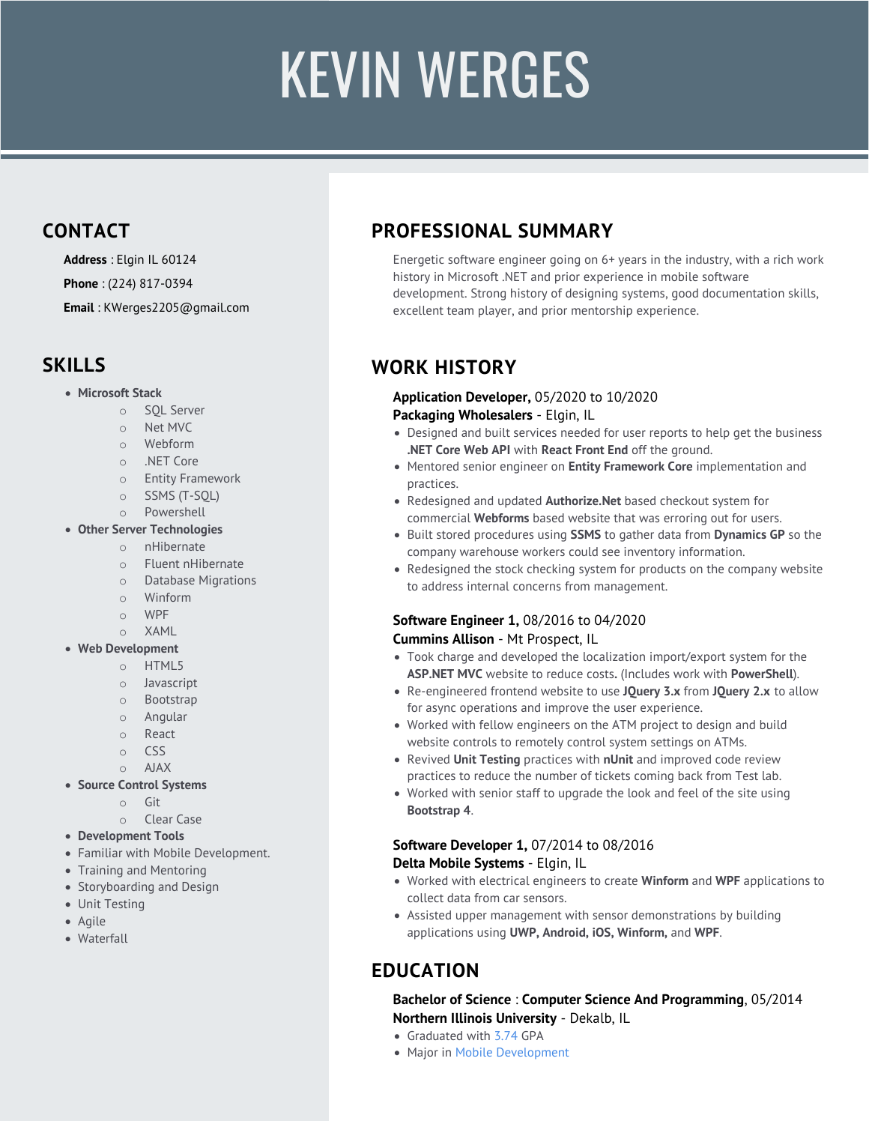# FLAVIO SMIRNE

# **CONTACT**

**Address** : Greater Chicago Area

**Phone** : (312) 841-7002

**Email** : flavio@smirne.com

**Web** : smirne.com

## **SKILLS**

#### x **GUI Technologies**

- o Windows Forms
	- o WPF
	- o ASP.net MVC
	- o LINQPad
	- o Windows Phone
	- o Razor

#### **Server Technologies**

- o Windows
- o CentOS
- o Azure
- $\sim$  AWS

#### **Databases**

- o SQL Server
- o PostgreSQL
- o SQLite
- o Entity Framework
- o Dapper
- o LINQPad

#### **Web Development**

- o HTML5
- o Javascript
- o Bootstrap
- o jQuery
- o CSS
- o AJAX
- o REST

#### **Development Tools**

- o Visual Studio
	- o Agile
	- o Waterfall
	- o pgAdmin
	- o SQL Server

Management Studio

# **PROFESSIONAL SUMMARY**

I live to optimize things. I enjoy working on challenging problems and finding simple solutions that are easy to understand and replicate. Throughout my career, I've always looked for ways to automate processes and have created countless solutions for these problems. I'm an expert in Microsoft technologies .

# **WORK EXPERIENCE**

#### **Solution Productization Architect** 01/2014 to Present **Accertify, An American Express Company** Itasca, IL

- Leader of Solution Productization team. Responsible for design and standardization of anti-fraud systems across Retail, Digital, Travel, Arline and Ticketing industries
- Responsible for automation of many aspects of the Implementation Process (C#).
- Ranked top 1% of leaders the company President's Award winner.
- Involved in many high profile fortune 500 projects, implementing custom anti-fraud solutions.
- Worked on all aspects of implementations along with project managers, directors and technical architects of Fortune 500 clients.
- Top performer in Implementation team since first year joining the company.

#### **Execution Lead (Mobile / E-Commerce)** 08/2008 to 01/2014 **State Farm Insurance** Bloomington, IL

- Lead Developer for State Farm Pocket Agent™ for Windows Phone 7 & 8.
- Co-designer, co-architect and co-developer of the portal for all State Farm mobile applications, the entry point used by all clients including iPhone, Android, m.statefarm.com and Windows Phone.
- Winner of State Farm Hack Day 2 years in a row (2009-2010).
- Presented papers and gave enterprise direction on topics such as antipatterns, performance engineering and software engineering best practices.

## **Realinked.com** Chicago, IL

- Founder of Realinked, an online real estate brokerage focused on the metropolitan Chicago market.
- Responsible for all technical aspects of the business including design, development and maintenance of the online presence from the backend to presentation layer.
- Focused on Web 2.0 standards such as jQuery, SQL Server 2008, AJAX, JSON, MVC, IIS.
- Exposed to all aspects of the business and ability to wear multiple hats to ensure highest quality.

# **CTO** 02/2010 to 08/2011